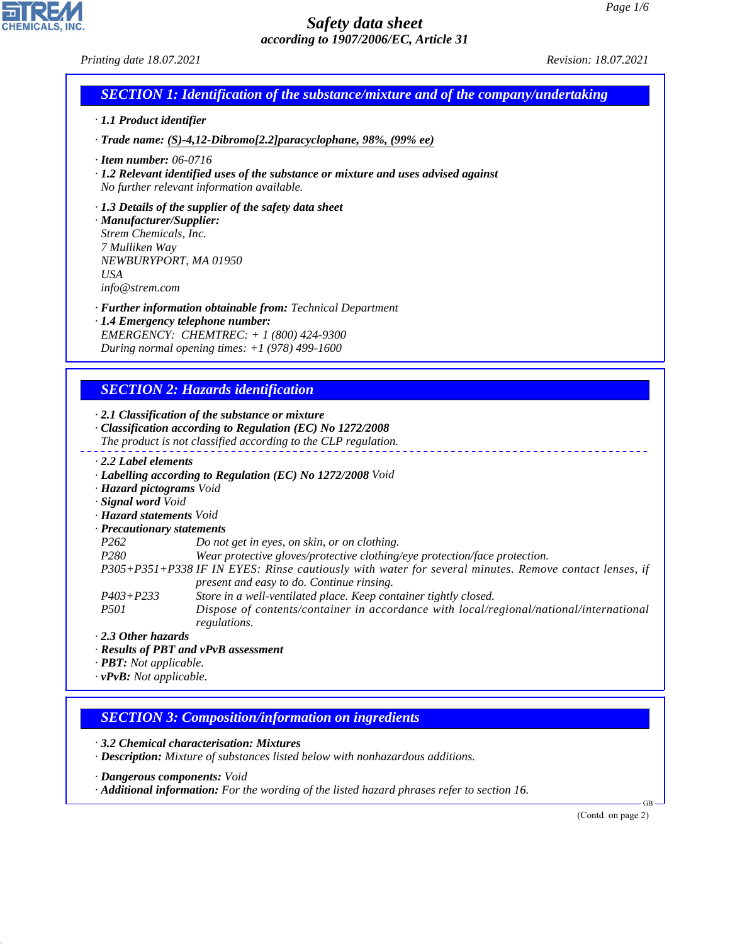#### *Printing date 18.07.2021 Revision: 18.07.2021*

|  | <b>SECTION 1: Identification of the substance/mixture and of the company/undertaking <math>\triangle</math></b> |
|--|-----------------------------------------------------------------------------------------------------------------|
|  |                                                                                                                 |

- *· 1.1 Product identifier*
- *· Trade name: (S)-4,12-Dibromo[2.2]paracyclophane, 98%, (99% ee)*
- *· Item number: 06-0716*
- *· 1.2 Relevant identified uses of the substance or mixture and uses advised against No further relevant information available.*
- *· 1.3 Details of the supplier of the safety data sheet*

*· Manufacturer/Supplier: Strem Chemicals, Inc. 7 Mulliken Way NEWBURYPORT, MA 01950 USA info@strem.com*

- *· Further information obtainable from: Technical Department*
- *· 1.4 Emergency telephone number: EMERGENCY: CHEMTREC: + 1 (800) 424-9300 During normal opening times: +1 (978) 499-1600*

## *SECTION 2: Hazards identification*

*· 2.1 Classification of the substance or mixture*

- *· Classification according to Regulation (EC) No 1272/2008 The product is not classified according to the CLP regulation.*
- *· 2.2 Label elements*
- *· Labelling according to Regulation (EC) No 1272/2008 Void*
- *· Hazard pictograms Void*
- *· Signal word Void*
- *· Hazard statements Void*
- *· Precautionary statements*
- *P262 Do not get in eyes, on skin, or on clothing.*
- *P280 Wear protective gloves/protective clothing/eye protection/face protection.*
- *P305+P351+P338 IF IN EYES: Rinse cautiously with water for several minutes. Remove contact lenses, if present and easy to do. Continue rinsing.*
- *P403+P233 Store in a well-ventilated place. Keep container tightly closed. P501 Dispose of contents/container in accordance with local/regional/national/international regulations.*
- *· 2.3 Other hazards*
- *· Results of PBT and vPvB assessment*
- *· PBT: Not applicable.*

44.1.1

*· vPvB: Not applicable.*

### *SECTION 3: Composition/information on ingredients*

*· 3.2 Chemical characterisation: Mixtures*

*· Description: Mixture of substances listed below with nonhazardous additions.*

*· Dangerous components: Void*

*· Additional information: For the wording of the listed hazard phrases refer to section 16.*

(Contd. on page 2)

GB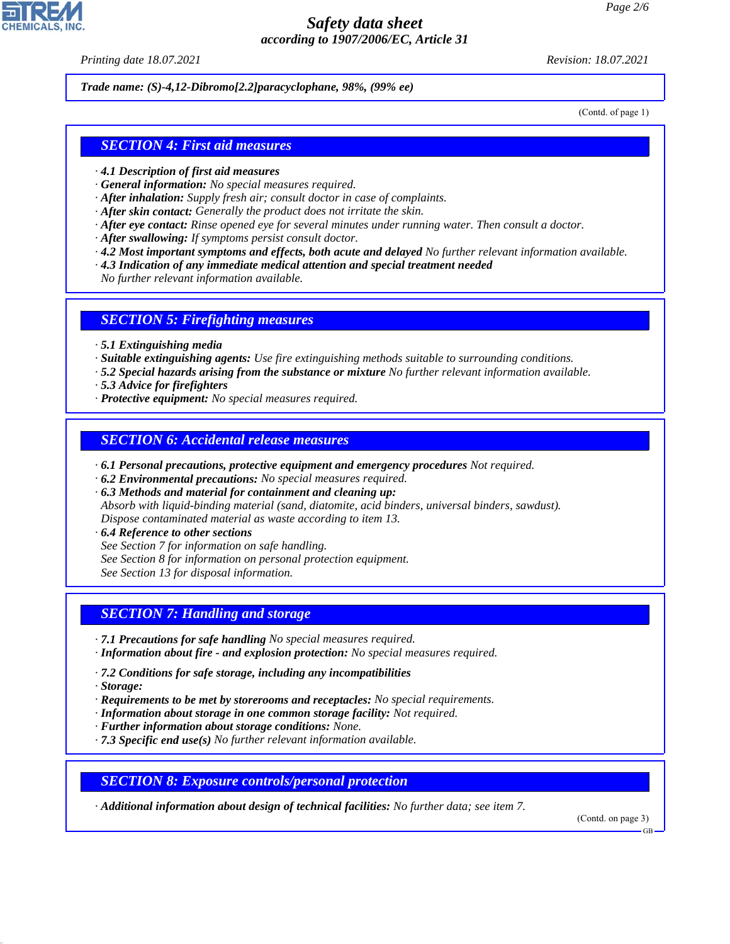*Printing date 18.07.2021 Revision: 18.07.2021*

*Trade name: (S)-4,12-Dibromo[2.2]paracyclophane, 98%, (99% ee)*

(Contd. of page 1)

#### *SECTION 4: First aid measures*

- *· 4.1 Description of first aid measures*
- *· General information: No special measures required.*
- *· After inhalation: Supply fresh air; consult doctor in case of complaints.*
- *· After skin contact: Generally the product does not irritate the skin.*
- *· After eye contact: Rinse opened eye for several minutes under running water. Then consult a doctor.*
- *· After swallowing: If symptoms persist consult doctor.*
- *· 4.2 Most important symptoms and effects, both acute and delayed No further relevant information available.*
- *· 4.3 Indication of any immediate medical attention and special treatment needed*

*No further relevant information available.*

#### *SECTION 5: Firefighting measures*

- *· 5.1 Extinguishing media*
- *· Suitable extinguishing agents: Use fire extinguishing methods suitable to surrounding conditions.*
- *· 5.2 Special hazards arising from the substance or mixture No further relevant information available.*
- *· 5.3 Advice for firefighters*
- *· Protective equipment: No special measures required.*

#### *SECTION 6: Accidental release measures*

- *· 6.1 Personal precautions, protective equipment and emergency procedures Not required.*
- *· 6.2 Environmental precautions: No special measures required.*
- *· 6.3 Methods and material for containment and cleaning up:*
- *Absorb with liquid-binding material (sand, diatomite, acid binders, universal binders, sawdust). Dispose contaminated material as waste according to item 13.*
- *· 6.4 Reference to other sections*
- *See Section 7 for information on safe handling.*
- *See Section 8 for information on personal protection equipment.*

*See Section 13 for disposal information.*

## *SECTION 7: Handling and storage*

- *· 7.1 Precautions for safe handling No special measures required.*
- *· Information about fire and explosion protection: No special measures required.*
- *· 7.2 Conditions for safe storage, including any incompatibilities*
- *· Storage:*

44.1.1

- *· Requirements to be met by storerooms and receptacles: No special requirements.*
- *· Information about storage in one common storage facility: Not required.*
- *· Further information about storage conditions: None.*
- *· 7.3 Specific end use(s) No further relevant information available.*

#### *SECTION 8: Exposure controls/personal protection*

*· Additional information about design of technical facilities: No further data; see item 7.*

(Contd. on page 3)

GB

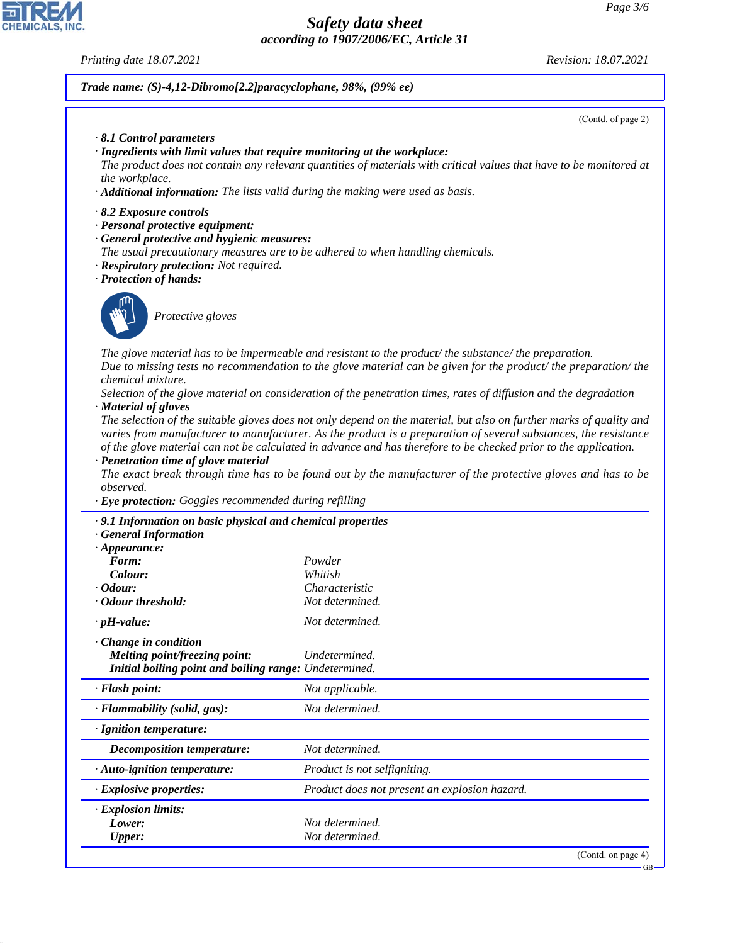*Printing date 18.07.2021 Revision: 18.07.2021*

#### *Trade name: (S)-4,12-Dibromo[2.2]paracyclophane, 98%, (99% ee)*

(Contd. of page 2)

- *· 8.1 Control parameters*
- *· Ingredients with limit values that require monitoring at the workplace:*
- *The product does not contain any relevant quantities of materials with critical values that have to be monitored at the workplace.*
- *· Additional information: The lists valid during the making were used as basis.*
- *· 8.2 Exposure controls*
- *· Personal protective equipment:*
- *· General protective and hygienic measures:*
- *The usual precautionary measures are to be adhered to when handling chemicals.*
- *· Respiratory protection: Not required.*
- *· Protection of hands:*



44.1.1

\_S*Protective gloves*

*The glove material has to be impermeable and resistant to the product/ the substance/ the preparation. Due to missing tests no recommendation to the glove material can be given for the product/ the preparation/ the chemical mixture.*

*Selection of the glove material on consideration of the penetration times, rates of diffusion and the degradation · Material of gloves*

*The selection of the suitable gloves does not only depend on the material, but also on further marks of quality and varies from manufacturer to manufacturer. As the product is a preparation of several substances, the resistance of the glove material can not be calculated in advance and has therefore to be checked prior to the application.*

*· Penetration time of glove material*

*The exact break through time has to be found out by the manufacturer of the protective gloves and has to be observed.*

*· Eye protection: Goggles recommended during refilling*

| · 9.1 Information on basic physical and chemical properties<br><b>General Information</b>                      |                                               |  |
|----------------------------------------------------------------------------------------------------------------|-----------------------------------------------|--|
| $\cdot$ Appearance:                                                                                            |                                               |  |
| Form:                                                                                                          | Powder                                        |  |
| Colour:                                                                                                        | Whitish                                       |  |
| $\cdot$ Odour:                                                                                                 | Characteristic                                |  |
| • Odour threshold:                                                                                             | Not determined.                               |  |
| $\cdot$ pH-value:                                                                                              | Not determined.                               |  |
| Change in condition<br>Melting point/freezing point:<br>Initial boiling point and boiling range: Undetermined. | Undetermined.                                 |  |
| · Flash point:                                                                                                 | Not applicable.                               |  |
| · Flammability (solid, gas):                                                                                   | Not determined.                               |  |
| · Ignition temperature:                                                                                        |                                               |  |
| Decomposition temperature:                                                                                     | Not determined.                               |  |
| · Auto-ignition temperature:                                                                                   | Product is not selfigniting.                  |  |
| · Explosive properties:                                                                                        | Product does not present an explosion hazard. |  |
| $\cdot$ Explosion limits:                                                                                      |                                               |  |
| Lower:                                                                                                         | Not determined.                               |  |
| <b>Upper:</b>                                                                                                  | Not determined.                               |  |
|                                                                                                                | (Contd. on page $4$ )                         |  |

GB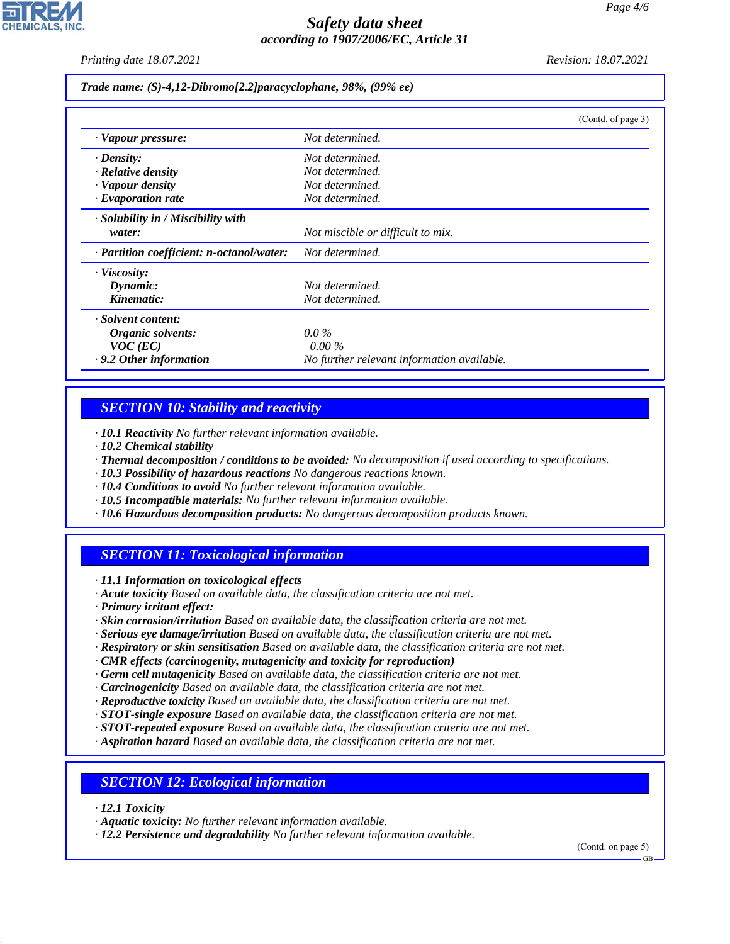*Printing date 18.07.2021 Revision: 18.07.2021*

*Trade name: (S)-4,12-Dibromo[2.2]paracyclophane, 98%, (99% ee)*

|                                           | (Contd. of page 3)                         |
|-------------------------------------------|--------------------------------------------|
| · Vapour pressure:                        | Not determined.                            |
| $\cdot$ Density:                          | Not determined.                            |
| $\cdot$ Relative density                  | Not determined.                            |
| · Vapour density                          | Not determined.                            |
| $\cdot$ Evaporation rate                  | Not determined.                            |
| $\cdot$ Solubility in / Miscibility with  |                                            |
| water:                                    | Not miscible or difficult to mix.          |
| · Partition coefficient: n-octanol/water: | Not determined.                            |
| $\cdot$ Viscosity:                        |                                            |
| Dynamic:                                  | Not determined.                            |
| Kinematic:                                | Not determined.                            |
| · Solvent content:                        |                                            |
| Organic solvents:                         | $0.0\%$                                    |
| $VOC$ (EC)                                | $0.00\%$                                   |
| · 9.2 Other information                   | No further relevant information available. |

## *SECTION 10: Stability and reactivity*

*· 10.1 Reactivity No further relevant information available.*

- *· 10.2 Chemical stability*
- *· Thermal decomposition / conditions to be avoided: No decomposition if used according to specifications.*
- *· 10.3 Possibility of hazardous reactions No dangerous reactions known.*
- *· 10.4 Conditions to avoid No further relevant information available.*
- *· 10.5 Incompatible materials: No further relevant information available.*
- *· 10.6 Hazardous decomposition products: No dangerous decomposition products known.*

### *SECTION 11: Toxicological information*

*· 11.1 Information on toxicological effects*

*· Acute toxicity Based on available data, the classification criteria are not met.*

*· Primary irritant effect:*

- *· Skin corrosion/irritation Based on available data, the classification criteria are not met.*
- *· Serious eye damage/irritation Based on available data, the classification criteria are not met.*
- *· Respiratory or skin sensitisation Based on available data, the classification criteria are not met.*
- *· CMR effects (carcinogenity, mutagenicity and toxicity for reproduction)*
- *· Germ cell mutagenicity Based on available data, the classification criteria are not met.*
- *· Carcinogenicity Based on available data, the classification criteria are not met.*
- *· Reproductive toxicity Based on available data, the classification criteria are not met.*
- *· STOT-single exposure Based on available data, the classification criteria are not met.*
- *· STOT-repeated exposure Based on available data, the classification criteria are not met.*
- *· Aspiration hazard Based on available data, the classification criteria are not met.*

### *SECTION 12: Ecological information*

*· 12.1 Toxicity*

44.1.1

*· 12.2 Persistence and degradability No further relevant information available.*

(Contd. on page 5)

*<sup>·</sup> Aquatic toxicity: No further relevant information available.*

GB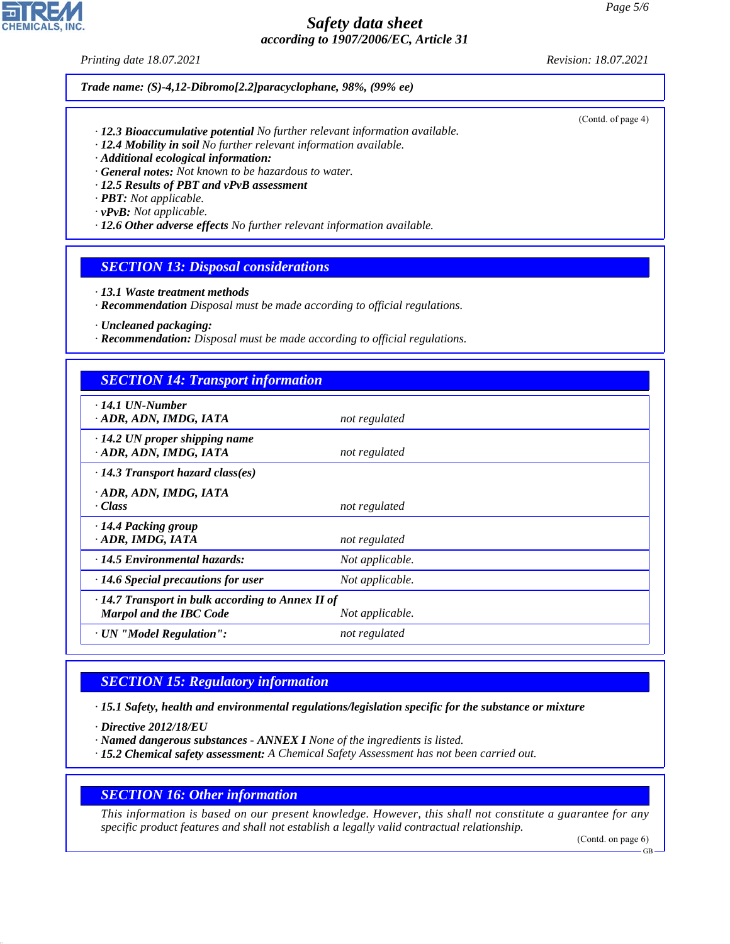*Printing date 18.07.2021 Revision: 18.07.2021*

*Trade name: (S)-4,12-Dibromo[2.2]paracyclophane, 98%, (99% ee)*

- *· 12.3 Bioaccumulative potential No further relevant information available.*
- *· 12.4 Mobility in soil No further relevant information available.*
- *· Additional ecological information:*
- *· General notes: Not known to be hazardous to water.*
- *· 12.5 Results of PBT and vPvB assessment*
- *· PBT: Not applicable.*
- *· vPvB: Not applicable.*
- *· 12.6 Other adverse effects No further relevant information available.*

### *SECTION 13: Disposal considerations*

- *· 13.1 Waste treatment methods*
- *· Recommendation Disposal must be made according to official regulations.*
- *· Uncleaned packaging:*
- *· Recommendation: Disposal must be made according to official regulations.*

### *SECTION 14: Transport information*

| $\cdot$ 14.1 UN-Number                                  |                 |  |
|---------------------------------------------------------|-----------------|--|
| · ADR, ADN, IMDG, IATA                                  | not regulated   |  |
| $\cdot$ 14.2 UN proper shipping name                    |                 |  |
|                                                         |                 |  |
| · ADR, ADN, IMDG, IATA                                  | not regulated   |  |
| $\cdot$ 14.3 Transport hazard class(es)                 |                 |  |
| · ADR, ADN, IMDG, IATA                                  |                 |  |
|                                                         |                 |  |
| $\cdot$ Class                                           | not regulated   |  |
| · 14.4 Packing group                                    |                 |  |
| · ADR, IMDG, IATA                                       | not regulated   |  |
|                                                         |                 |  |
| $\cdot$ 14.5 Environmental hazards:                     | Not applicable. |  |
| $\cdot$ 14.6 Special precautions for user               | Not applicable. |  |
| $\cdot$ 14.7 Transport in bulk according to Annex II of |                 |  |
| <b>Marpol and the IBC Code</b>                          | Not applicable. |  |
|                                                         |                 |  |
| · UN "Model Regulation":                                | not regulated   |  |

# *SECTION 15: Regulatory information*

*· 15.1 Safety, health and environmental regulations/legislation specific for the substance or mixture*

*· Directive 2012/18/EU*

44.1.1

- *· Named dangerous substances ANNEX I None of the ingredients is listed.*
- *· 15.2 Chemical safety assessment: A Chemical Safety Assessment has not been carried out.*

#### *SECTION 16: Other information*

*This information is based on our present knowledge. However, this shall not constitute a guarantee for any specific product features and shall not establish a legally valid contractual relationship.*

(Contd. on page 6)

(Contd. of page 4)

GB